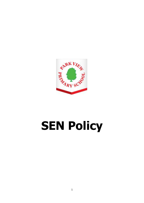

# **SEN Policy**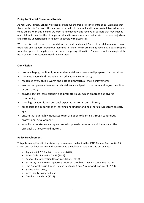# **Policy for Special Educational Needs**

At Park View Primary School we recognise that our children are at the centre of our work and that the school exists for them. All members of our school community will be respected, feel valued, and value others. With this in mind, we work hard to identify and remove all barriers that may impede our children in meeting their true potential and to create a culture that works to remove prejudices and increase understanding in relation to people with disabilities.

We recognise that the needs of our children are wide and varied. Some of our children may require extra help and support throughout their time in school, whilst others may need a little extra support for a short period to help to overcome more temporary difficulties. Person centred planning is at the heart of Special Educational Needs at Park View.

# **Our Mission**

- produce happy, confident, independent children who are well prepared for the future;
- motivate every child through a rich educational experience;
- recognise every child's worth and potential through all their achievements;
- ensure that parents, teachers and children are all part of our team and enjoy their time at our school;
- provide pastoral care, support and promote values which embrace our diverse community;
- have high academic and personal expectations for all our children;
- emphasise the importance of learning and understanding other cultures from an early age;
- ensure that our highly motivated team are open to learning through continuous professional development;
- establish a courteous, caring and self-disciplined community which embraces the principal that every child matters.

## **Policy Development**

This policy complies with the statutory requirement laid out in the SEND Code of Practice  $0-25$ (2015) and has been written with reference to the following guidance and documents:

- Equality Act 2010: advice for schools (2014)
- SEND Code of Practice 0 25 (2015)
- School SEN Information Report regulations (2014)
- Statutory guidance on supporting pupils at school with medical conditions (2015)
- The National Curriculum in England Key Stage 1 and 2 framework document (2013)
- Safeguarding policy
- Accessibility policy and plan
- Teachers Standards (2013).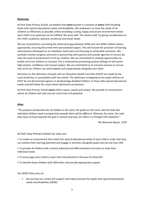# **Rationale**

At Park View Primary School, we believe that **every** teacher is a teacher of **every** child including those with special educational needs and disabilities. We endeavour to meet the needs of all children as effectively as possible, whilst providing a caring, happy and secure environment where each child's true potential can be fulfilled. We work with "the whole child" by giving consideration to the child's academic, physical, emotional and social needs.

We are committed to narrowing the attainment gap between SEND and non-SEND children where appropriate, ensuring they meet their personalised targets. This will include the provision of learning interventions developed on an individual needs basis and focusing on achievable outcomes. We carefully monitor progress and work in partnership with parents and outside agencies to ensure we raise the level of achievement of all our children. We are committed to creating opportunities to enable all of our children to succeed. This is achieved by promoting positive feelings of self-worth, high esteem, confidence and mutual respect. We are committed to an inclusive practice to ensure that all of our children can work happily and cooperatively alongside each other.

Decisions on the admission of pupils with an Education Health Care Plan (EHCP) are made by the Local Authority, in consultation with the school. The admission arrangements for pupils without an EHCP do not discriminate against or disadvantage disabled children or those with special educational needs and will follow the usual school admissions procedures.

At Park View Primary School **every** child is equal, valued and unique. We provide an environment where all children feel safe and can reach their full potential.

## **Aims**

*"The purpose of education for all children is the same; the goals are the same. But the help that individual children need in progressing towards them will be different. Whereas, for some, the road they have to travel towards the goal is smooth and easy, for others it is fraught with obstacles."*

*The Warnock Report, 1978*

At Park View Primary School our aims are:

• To create an environment that meets the special educational needs of each child in order that they can achieve their learning potential and engage in activities alongside pupils who do not have SEN

• To provide all children with a broad, balanced and differentiated curriculum to meet their individual needs

- To encourage every child to reach their full potential in all areas of school life
- To identify those children with difficulties and provide appropriate support

Our SEND Policy aims to:

• Set out how our school will support and make provision for pupils with special educational needs and disabilities (SEND)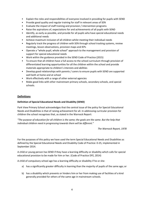- Explain the roles and responsibilities of everyone involved in providing for pupils with SEND
- Provide good quality and regular training for staff in relevant areas of SEN
- Evaluate the impact of staff training and provision / intervention programs
- Raise the aspirations of, expectations for and achievements of all pupils with SEND
- Identify, as early as possible, and provide for all pupils who have special educational needs and additional needs
- Achieve maximum inclusion of all children whilst meeting their individual needs
- Regularly track the progress of children with SEN through school tracking systems, review meetings, lesson observations, provision maps and IEPs
- Operate a "whole pupil, whole school" approach to the management and provision of support for special educational needs
- Work within the guidance provided in the SEND Code of Practice (2015)
- To ensure that all children have a full access to the school curriculum through provision of differentiated learning opportunities for all the children within the school and provide materials appropriate to children's interests and abilities
- Develop good relationships with parents / carers to ensure pupils with SEND are supported well both at home and at school
- Work effectively with a range of other external agencies
- Make good links with other mainstream primary schools, secondary schools, and special schools.

# **Definitions**

## **Definition of Special Educational Needs and Disability (SEND)**

Park View Primary School acknowledges that the central issue of the policy for Special Educational Needs and Disabilities is that of raising achievement for all. In addressing curricular provision for children the school recognises that, as stated in the Warnock Report:

*"The purpose of education for all children is the same; the goals are the same. But the help that individual children need in progressing towards them will be different."*

*The Warnock Report, 1978*

For the purposes of this policy we have used the term Special Educational Needs and Disabilities as defined by the Special Educational Needs and Disability Code of Practice: 0-25, implemented in September 2014.

A child or young person has SEND if they have a learning difficulty or disability which calls for special educational provision to be made for him or her. (Code of Practice DFE, 2014)

A child of compulsory school age has a learning difficulty or disability if he or she:

- a) has a significantly greater difficulty in learning than the majority of pupils of the same age; or
- b) has a disability which prevents or hinders him or her from making use of facilities of a kind generally provided for others of the same age in mainstream schools.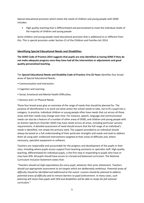Special educational provision which meets the needs of children and young people with SEND includes:

• High quality teaching that is differentiated and personalised to meet the individual needs of the majority of children and young people

Some children and young people need educational provision that is additional to or different from this. This is special provision under Section 21 of the Children and Families Act 2014.

## **Identifying Special Educational Needs and Disabilities**

**The SEND Code of Practice 2014 suggests that pupils are only identified as having SEND if they do not make adequate progress once they have had all the intervention or adjustments and good quality personalised teaching.**

The **Special Educational Needs and Disability Code of Practice: 0 to 25 Years** identifies four broad areas of Special Educational Needs:

- Communication and Interaction.
- Cognition and Learning.
- Social, Emotional and Mental Health Difficulties.
- Sensory and / or Physical Needs.

These four broad areas give an overview of the range of needs that should be planned for. The purpose of identification is to work out what action the school needs to take, not to fit a pupil into a category. In practice, individual children or young people often have needs that cut across all these areas and their needs may change over time. For instance, speech, language and communication needs can also be a feature of a number of other areas of SEND, and children and young people with an Autistic Spectrum Disorder (ASD) may have needs across all areas, including particular sensory requirements. A detailed assessment of need should ensure that the full range of an individual's needs is identified, not simply the primary need. The support provided to an individual should always be based on a full understanding of their particular strengths and needs and seek to address them all using well- evidenced interventions targeted at their areas of difficulty and, where necessary, specialist equipment or software.

Teachers are responsible and accountable for the progress and development of the pupils in their class, including where pupils access support from teaching assistants or specialist staff. High quality teaching, differentiated for individual pupils, is the first step in responding to pupils who have or may have SEN. All pupils should have access to a broad and balanced curriculum. The National Curriculum Inclusion Statement states that:

*"Teachers should set high expectations for every pupil, whatever their prior attainment. Teachers should use appropriate assessment to set targets which are deliberately ambitious. Potential areas of difficulty should be identified and addressed at the outset. Lessons should be planned to address potential areas of difficulty and to remove barriers to pupil achievement. In many cases, such planning will mean that pupils with SEN and disabilities will be able to study the full national curriculum."*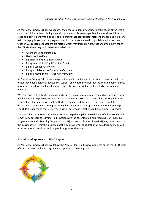## *Special Education Needs and Disability Code of Practice: 0 to 25 years, 2014*

At Park View Primary School, we identify the needs of pupils by considering the needs of the whole child. If a child is underachieving they will not necessarily have a special educational need. It is our responsibility to identify this quickly and to ensure that appropriate interventions are put in place to help these pupils to make the progress of which they are capable through liaison with the class teacher. We recognise that there are factors which may impact on progress and attainment other than SEND, these may include issues in relation to:

- Attendance and punctuality
- Health and Welfare
- English as an Additional Language
- Being in receipt of Pupil Premium Grant
- Being a Looked After Child
- Being a child of active Serviceman/woman
- Being a member of a Travelling community

At Park View Primary School, we recognise that pupil's individual circumstances can affect whether or not they need additional educational support and whether or not they, at a certain point in time, have a special educational need. As such, the SEND register is fluid and regularly reviewed and updated.

We recognise that early identification and intervention is paramount in responding to children who need additional help. Progress of all of our children is assessed on a regular basis throughout the year and regular meetings are held with class teachers and the senior leadership team (SLT) to discuss who may need extra support. Once this is identified, appropriate intervention is put in place. The child's response to these interventions will determine whether additional support is needed.

The overriding purpose of this early action is to help the pupil achieve the identified outcomes and remove any barriers to learning. In discussion with the parents, child and teaching staff, individual targets are set and a Learning Support Plan (LSP) or Pastoral Support Plan (PSP) may be written up by the class teacher. It may be discussed at this point whether consultation with outside agencies will provide a more specialised and targeted support for the child.

## **A Graduated Approach to SEND Support**

At Park View Primary School, we follow the Assess, Plan, Do, Review model set out in the SEND Code of Practice, 2014, and adopt a graduated approach to SEN Support.

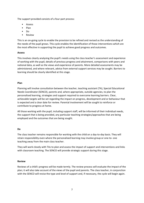The support provided consists of a four-part process:

- Assess
- Plan
- Do
- Review

This is an on-going cycle to enable the provision to be refined and revised as the understanding of the needs of the pupil grows. This cycle enables the identification of those interventions which are the most effective in supporting the pupil to achieve good progress and outcomes.

# **Assess**

This involves clearly analysing the pupil's needs using the class teacher's assessment and experience of working with the pupil, details of previous progress and attainment, comparisons with peers and national data, as well as the views and experience of parents. More detailed assessments may be administered, and where relevant, advice from external support services may be sought. Barriers to learning should be clearly identified at this stage.

# **Plan**

Planning will involve consultation between the teacher, teaching assistant (TA), Special Educational Needs Coordinator (SENCO), parents and, where appropriate, outside agencies, to plan the personalised learning, strategies and support required to overcome learning barriers. Clear, achievable targets will be set regarding the impact on progress, development and or behaviour that is expected and a clear date for review. Parental involvement will be sought to reinforce or contribute to progress at home.

All those working with the pupil, including support staff, will be informed of their individual needs, the support that is being provided, any particular teaching strategies/approaches that are being employed and the outcomes that are being sought.

# **Do**

The class teacher remains responsible for working with the child on a day-to-day basis. They will retain responsibility even where the personalised learning may involve group or one-to- one teaching away from the main class teacher.

They will work closely with TAs to plan and assess the impact of support and interventions and links with classroom teaching. The SENCO will provide strategic support during this stage.

## **Review**

Reviews of a child's progress will be made termly. The review process will evaluate the impact of the plan; it will also take account of the views of the pupil and parents. The class teacher, in conjunction with the SENCO will revise the type and level of support and, if necessary, the cycle will begin again.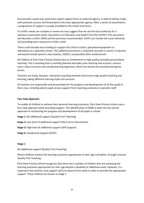Occasionally a pupil may need more expert support from an external agency. A referral will be made, with parental consent and forwarded to the most appropriate agency. After a series of assessments, a programme of support is usually provided to the school and home.

If a child's needs are complex or severe we may suggest that we ask the local authority for a statutory assessment which may lead to an Education and Health Care Plan (EHCP). This document will describe a child's SEND and the provision recommended. EHCPs can involve the Local Authority (LA) providing extra resources to help a child.

These could include extra funding to support the child in school, specialised equipment or attendance at a specialist school. This additional provision is reviewed annually or sooner if required and would include parents, class teacher, SENCO, and possibly other professionals.

All children at Park View Primary School have an entitlement to high quality everyday personalised teaching. This is teaching that is carefully planned and takes prior learning into account. Lessons have a clear structure and include learning objectives, which are shared and revisited during the lesson.

Teachers use lively, dynamic, interactive teaching methods that ensure high quality teaching and learning, taking different learning styles into account.

All teachers are responsible and accountable for the progress and development of all the pupils in their class, including where pupils access support from teaching assistants or specialist staff.

#### **Four Step Approach**

To enable all children to achieve their personal learning outcomes, Park View Primary School uses a four step approach when providing support. The identification of SEND is built into the overall approach to monitoring the progress and development of all pupils in school.

**Stage 1:** No additional support (Quality First Teaching)

**Stage 2:** Low level of additional support (Short term intervention)

**Stage 3:** High level of additional support (SEN Support)

**Stage 4:** Exceptional Support (EHCP)

#### **Stage 1**

No additional support (Quality First Teaching)

Where children achieve the learning outcomes appropriate to their age and ability, through Inclusive Quality First Teaching.

Park View Primary School recognises that there are a number of children who are achieving the learning outcomes appropriate for their age despite a disability or additional need. However, it is important that teachers and support staff are aware of this need in order to provide the appropriate support. These children are known as Stage 1.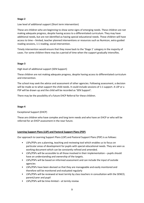## **Stage 2**

Low level of additional support (Short term intervention)

These are children who are beginning to show some signs of emerging needs. These children are not making adequate progress, despite having access to a differentiated curriculum. They may have additional needs, but are not identified as having special educational needs. These children will have access to time – limited, teacher planned interventions or resources such as Numicon, extra guided reading sessions, 1:1 reading, social intervention.

Timely intervention would ensure that they move back to the 'Stage 1' category in the majority of cases. For some children there may be a period of time when the support gradually intensifies.

## **Stage 3**

High level of additional support (SEN Support)

These children are not making adequate progress, despite having access to differentiated curriculum and intervention.

The school may seek the advice and assessment of other agencies. Following assessment, a decision will be made as to what support the child needs. It could include sessions of 1:1 support. A LSP or a PSP will be drawn up and the child will be recorded as 'SEN Support'.

There may be the possibility of a future EHCP Referral for these children.

#### **Stage 4**

Exceptional Support (EHCP)

These are children who have complex and long term needs and who have an EHCP or who will be referred for an EHCP assessment in the near future.

## **Learning Support Plans (LSP) and Pastoral Support Plans (PSP)**

Our approach to Learning Support Plans (LSP) and Pastoral Support Plans (PSP) is as follows:

- LSPs/PSPs are a planning, teaching and reviewing tool which enables us to focus on particular areas of development for pupils with special educational needs. They are seen as working document which can be constantly refined and amended.
- LSPs/PSPs will be accessible to all those involved in their implementation pupils should have an understanding and ownership of the targets.
- LSPs/PSPs will be based on informed assessment and can include the input of outside agencies
- LSPs/PSPs have been devised so that they are manageable and easily monitored and therefore will be monitored and evaluated regularly
- LSPs/PSPs will be reviewed at least termly by class teachers in consultation with the SENCO, parent/carer and pupil
- LSPs/PSPs will be time-limited at termly review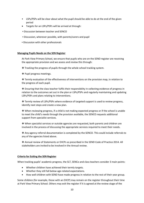- LSPs/PSPs will be clear about what the pupil should be able to do at the end of the given period
- Targets for an LSPs/PSPs will be arrived at through:
- **.** Discussion between teacher and SENCO
- Discussion, wherever possible, with parents/carers and pupil
- **Discussion with other professionals**

#### **Managing Pupils Needs on the SEN Register**

At Park View Primary School, we ensure that pupils who are on the SEND register are receiving the appropriate provision and we assess and review this through:

❖ Tracking the progress of pupils through the whole school tracking system.

❖ Pupil progress meetings.

❖ Termly evaluation of the effectiveness of interventions on the provision map, in relation to the progress of each pupil.

❖ Ensuring that the class teacher fulfils their responsibility in collecting evidence of progress in relation to the outcomes set out in the plan or LSPs/PSPs and regularly maintaining and updating LSPs/PSPs and plans relating to interventions.

❖ Termly review of LSPs/PSPs where evidence of targeted support is used to review progress, identify next steps and create a new plan.

❖ When reviewing progress, if a child is not making expected progress or if the school is unable to meet the child's needs through the provision available, the SENCO requests additional support from specialist services.

❖ When specialist services or outside agencies are requested, both parents and children are involved in the process of discussing the appropriate services required to meet their needs.

❖ Any agency referral documentation is completed by the SENCO. This could include referrals to any of the agencies listed above.

❖ Annual review of Statements or EHCPs as prescribed in the SEND Code of Practice 2014. All stakeholders are invited to be involved in the Annual review.

#### **Criteria for Exiting the SEN Register**

When tracking pupils' academic progress, the SLT, SENCo and class teachers consider 3 main points:

- Whether children have achieved their termly targets.
- Whether they still fall below age-related expectations.
- How well children with SEND have made progress in relation to the rest of their year group.

Some children (for example, those with an EHCP) may remain on the register throughout their time at Park View Primary School. Others may exit the register if it is agreed at the review stage of the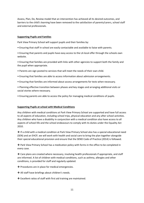Assess, Plan, Do, Review model that an intervention has achieved all its desired outcomes, and barriers to the child's learning have been removed to the satisfaction of parents/carers, school staff and external professionals.

## **Supporting Pupils and Families**

Park View Primary School will support pupils and their families by:

- Ensuring that staff in school are easily contactable and available to liaise with parents.
- Ensuring that parents and pupils have easy access to the LA local offer through the schools own website.
- Ensuring that families are provided with links with other agencies to support both the family and the pupil when appropriate.
- Parents are sign posted to services that will meet the needs of their own child.
- Ensuring that families are able to access information about admission arrangements.
- Ensuring that families are informed about access arrangements for tests when necessary.
- Planning effective transition between phases and key stages and arranging additional visits or social stories where necessary.
- Ensuring parents are able to access the policy for managing medical conditions of pupils.

## **Supporting Pupils at school with Medical Conditions**

Any children with medical conditions at Park View Primary School are supported and have full access to all aspects of education, including school trips, physical education and any after school activities. Any children who have a disability in conjunction with a medical condition also have access to all aspects of school life and the school endeavours to comply with its duties under the Equality Act 2010.

❖ If a child with a medical condition at Park View Primary School also has a special educational need (SEN) and an EHCP, we will work with health and social care to bring the plan together alongside their special educational provision and ensure that the SEND Code of Practice (2014) is followed.

❖ Park View Primary School has a medication policy with forms in the office to be completed in every case.

❖ Care plans are created where necessary, involving health professionals if appropriate, and staff are informed. A list of children with medical conditions, such as asthma, allergies and other conditions, is provided for staff and regularly updated.

❖ Procedures are in place for medical emergencies.

- ❖ All staff have briefings about children's needs.
- ❖ Excellent ratios of staff with first aid training are maintained.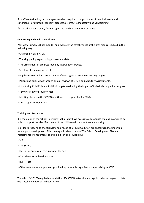❖ Staff are trained by outside agencies when required to support specific medical needs and conditions. For example, epilepsy, diabetes, asthma, tracheostomy and vent training.

❖ The school has a policy for managing the medical conditions of pupils.

#### **Monitoring and Evaluation of SEND**

Park View Primary School monitor and evaluate the effectiveness of the provision carried out in the following ways:

- Classroom visits by SLT.
- Tracking pupil progress using assessment data.
- The assessment of progress made by intervention groups.
- Scrutiny of planning by the SLT.
- Pupil interviews when setting new LSP/PSP targets or reviewing existing targets.
- Parent and pupil views through annual reviews of EHCPs and Statutory Assessments.
- Monitoring LSPs/PSPs and LSP/PSP targets, evaluating the impact of LSPs/PSPs on pupil's progress.
- Termly review of provision map.
- Meetings between the SENCO and Governor responsible for SEND.
- SEND report to Governors.

#### **Training and Resources**

It is the policy of the school to ensure that all staff have access to appropriate training in order to be able to support the identified needs of the children with whom they are working.

In order to respond to the strengths and needs of all pupils, all staff are encouraged to undertake training and development. This training will take account of The School Development Plan and Performance Management. The training can be provided by:

- SLT
- The SENCO
- Outside agencies e.g. Occupational Therapy
- Co-ordinators within the school
- BEST Trust
- Other suitable training courses provided by reputable organisations specialising in SEND

The school's SENCO regularly attends the LA's SENCO network meetings, in order to keep up to date with local and national updates in SEND.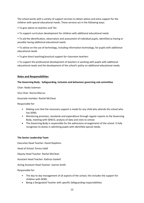The school works with a variety of support services to obtain advice and extra support for the children with special educational needs. These services act in the following ways:

- To give advice to teachers and TAs
- To support curriculum development for children with additional educational needs

• To aid the identification, observation and assessment of individual pupils, identified as having or possibly having additional educational needs

• To advise on the use of technology, including information technology, for pupils with additional educational needs

• To give direct teaching/practical support for classroom teachers

• To support the professional development of teachers in working with pupils with additional educational needs and the development of the school's policy on additional educational needs.

# **Roles and Responsibilities**

## **The Governing Body - Safeguarding, inclusion and behaviour governing sub-committee**

Chair: Nadia Suleman

Vice Chair: Donna Marcus

Associate member: Rachel McClean

Responsible for:

- Making sure that the necessary support is made for any child who attends the school who has SEND.
- Monitoring provision, standards and expenditure through regular reports to the Governing Body, meeting with SENCO, analysis of data and visits to school.
- The Governing Body is responsible for the admissions arrangements of the school. It fully recognises its duties in admitting pupils with identified special needs.

## **The Senior Leadership Team**

Executive Head Teacher: David Stephens

Head of School: Emma Udall

Deputy Head Teacher: Rachel McClean

Assistant Head Teacher: Kathryn Gaskell

Acting Assistant Head Teacher: Joanne Smith

Responsible for:

- The day-to day management of all aspects of the school, this includes the support for children with SEND.
- Being a Designated Teacher with specific Safeguarding responsibilities.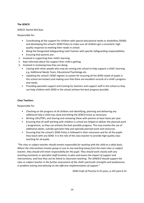## **The SENCO**

SENCO: Rachel McClean

Responsible for:

- Coordinating all the support for children with special educational needs or disabilities (SEND) and developing the school's SEND Policy to make sure all children get a consistent, high quality response to meeting their needs in school.
- Being the Designated Safeguarding Lead Teacher with specific Safeguarding responsibilities.
- Ensuring that parents are:
- 1. Involved in supporting their child's learning.
- 2. Kept informed about the support their child is getting.
- 3. Involved in reviewing how they are doing.
	- Liaising with other people who may be coming into school to help support a child's learning e.g. Additional Needs Team, Educational Psychology etc.
	- Updating the school's SEND register (a system for ensuring all the SEND needs of pupils in this school are known) and making sure that there are excellent records of a child's progress and needs.
	- Providing specialist support and training for teachers and support staff in the school so they can help children with SEND in the school achieve the best progress possible.

### **Class Teachers**

Responsible for:

- Checking on the progress of all children and identifying, planning and delivering any additional help a child may need and letting the SENCO know as necessary.
- Writing LSPs/PSPs, and sharing and reviewing these with parents at least twice per year.
- Ensuring that all staff working with children in school are helped to deliver the planned work / programme, so they can achieve the best possible progress. This may involve the use of additional adults, outside specialist help and specially planned work and resources.
- Ensuring that the school's SEND Policy is followed in their classroom and for all the pupils they teach with any SEND. It is the role of the class teacher to provide high quality class teaching for all pupils.

*"The class or subject teacher should remain responsible for working with the child on a daily basis. Where the interventions involve group or one to one teaching away from the main class or subject teacher, they should still retain responsibility for the pupil. They should work closely with any teaching assistants or specialist staff involved, to plan and assess the impact of support and interventions, and how they can be linked to classroom teaching. The SENDCO should support the class or subject teacher in the further assessment of the child's particular strengths and weaknesses, in problem solving and advising on the effective implementation of support."* 

*SEND Code of Practice 0-25 years, p.101 para 6.52*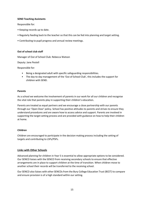### **SEND Teaching Assistants**

Responsible for:

- Keeping records up to date.
- Regularly feeding back to the teacher so that this can be fed into planning and target setting.
- Contributing to pupil progress and annual review meetings.

## **Out of school club staff**

Manager of Out of School Club: Rebecca Watson

Deputy: Jane Pestell

Responsible for:

- Being a designated adult with specific safeguarding responsibilities.
- The day-to day management of the 'Out of School Club', this includes the support for children with SEND.

#### **Parents**

As a school we welcome the involvement of parents in our work for all our children and recognise the vital role that parents play in supporting their children's education.

Parents are treated as equal partners and we encourage a close partnership with our parents through our 'Open Door' policy. School has positive attitudes to parents and strives to ensure they understand procedures and are aware how to access advice and support. Parents are involved in supporting the target setting process and are provided with guidance on how to help their children at home.

#### **Children**

Children are encouraged to participate in the decision making process including the setting of targets and contributing to LSPs/PSPs.

## **Links with Other Schools**

Advanced planning for children in Year 5 is essential to allow appropriate options to be considered. Our SENCO liaises with the SENCO from receiving secondary schools to ensure that effective arrangements are in place to support children at the time of transition. When children move to another school their records will be transferred to the receiving school.

Our SENCO also liaises with other SENCOs from the Bury College Education Trust (BCET) to compare and ensure provision is of a high standard within our setting.